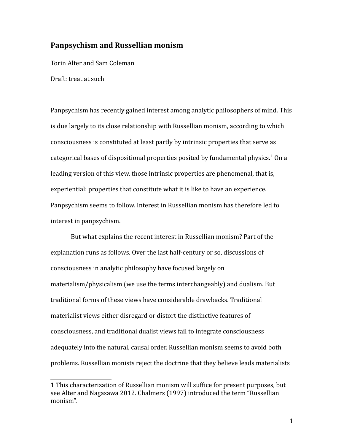# **Panpsychism and Russellian monism**

Torin Alter and Sam Coleman

Draft: treat at such

Panpsychism has recently gained interest among analytic philosophers of mind. This is due largely to its close relationship with Russellian monism, according to which consciousness is constituted at least partly by intrinsic properties that serve as categorical bases of dispositional properties posited by fundamental physics.<sup>[1](#page-0-0)</sup> On a leading version of this view, those intrinsic properties are phenomenal, that is, experiential: properties that constitute what it is like to have an experience. Panpsychism seems to follow. Interest in Russellian monism has therefore led to interest in panpsychism.

But what explains the recent interest in Russellian monism? Part of the explanation runs as follows. Over the last half-century or so, discussions of consciousness in analytic philosophy have focused largely on materialism/physicalism (we use the terms interchangeably) and dualism. But traditional forms of these views have considerable drawbacks. Traditional materialist views either disregard or distort the distinctive features of consciousness, and traditional dualist views fail to integrate consciousness adequately into the natural, causal order. Russellian monism seems to avoid both problems. Russellian monists reject the doctrine that they believe leads materialists

<span id="page-0-0"></span><sup>1</sup> This characterization of Russellian monism will suffice for present purposes, but see Alter and Nagasawa 2012. Chalmers (1997) introduced the term "Russellian monism".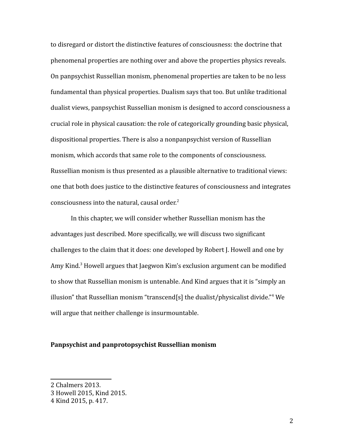to disregard or distort the distinctive features of consciousness: the doctrine that phenomenal properties are nothing over and above the properties physics reveals. On panpsychist Russellian monism, phenomenal properties are taken to be no less fundamental than physical properties. Dualism says that too. But unlike traditional dualist views, panpsychist Russellian monism is designed to accord consciousness a crucial role in physical causation: the role of categorically grounding basic physical, dispositional properties. There is also a nonpanpsychist version of Russellian monism, which accords that same role to the components of consciousness. Russellian monism is thus presented as a plausible alternative to traditional views: one that both does justice to the distinctive features of consciousness and integrates consciousness into the natural, causal order. $2$ 

In this chapter, we will consider whether Russellian monism has the advantages just described. More specifically, we will discuss two significant challenges to the claim that it does: one developed by Robert J. Howell and one by Amy Kind.<sup>[3](#page-1-1)</sup> Howell argues that Jaegwon Kim's exclusion argument can be modified to show that Russellian monism is untenable. And Kind argues that it is "simply an illusion" that Russellian monism "transcend[s] the dualist/physicalist divide."[4](#page-1-2) We will argue that neither challenge is insurmountable.

#### **Panpsychist and panprotopsychist Russellian monism**

<span id="page-1-0"></span><sup>2</sup> Chalmers 2013.

<span id="page-1-1"></span><sup>3</sup> Howell 2015, Kind 2015.

<span id="page-1-2"></span><sup>4</sup> Kind 2015, p. 417.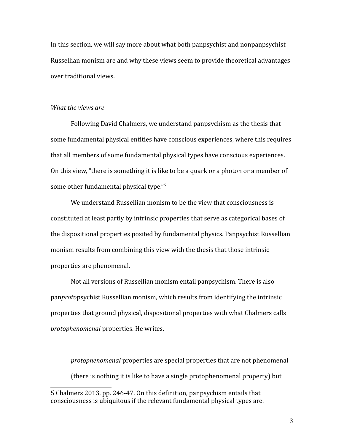In this section, we will say more about what both panpsychist and nonpanpsychist Russellian monism are and why these views seem to provide theoretical advantages over traditional views.

#### *What the views are*

Following David Chalmers, we understand panpsychism as the thesis that some fundamental physical entities have conscious experiences, where this requires that all members of some fundamental physical types have conscious experiences. On this view, "there is something it is like to be a quark or a photon or a member of some other fundamental physical type."<sup>[5](#page-2-0)</sup>

We understand Russellian monism to be the view that consciousness is constituted at least partly by intrinsic properties that serve as categorical bases of the dispositional properties posited by fundamental physics. Panpsychist Russellian monism results from combining this view with the thesis that those intrinsic properties are phenomenal.

Not all versions of Russellian monism entail panpsychism. There is also pan*proto*psychist Russellian monism, which results from identifying the intrinsic properties that ground physical, dispositional properties with what Chalmers calls *protophenomenal* properties. He writes,

*protophenomenal* properties are special properties that are not phenomenal (there is nothing it is like to have a single protophenomenal property) but

<span id="page-2-0"></span><sup>5</sup> Chalmers 2013, pp. 246-47. On this definition, panpsychism entails that consciousness is ubiquitous if the relevant fundamental physical types are.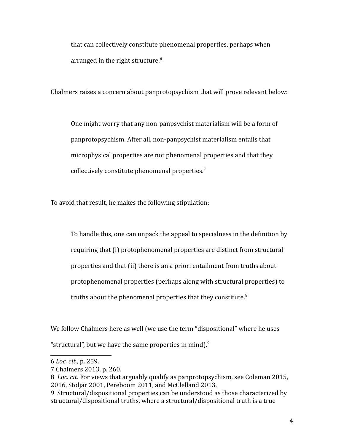that can collectively constitute phenomenal properties, perhaps when arranged in the right structure.<sup>[6](#page-3-0)</sup>

Chalmers raises a concern about panprotopsychism that will prove relevant below:

One might worry that any non-panpsychist materialism will be a form of panprotopsychism. After all, non-panpsychist materialism entails that microphysical properties are not phenomenal properties and that they collectively constitute phenomenal properties.<sup>[7](#page-3-1)</sup>

To avoid that result, he makes the following stipulation:

To handle this, one can unpack the appeal to specialness in the definition by requiring that (i) protophenomenal properties are distinct from structural properties and that (ii) there is an a priori entailment from truths about protophenomenal properties (perhaps along with structural properties) to truths about the phenomenal properties that they constitute.<sup>[8](#page-3-2)</sup>

We follow Chalmers here as well (we use the term "dispositional" where he uses "structural", but we have the same properties in mind). $9$ 

<span id="page-3-0"></span><sup>6</sup> *Loc. cit.*, p. 259.

<span id="page-3-1"></span><sup>7</sup> Chalmers 2013, p. 260.

<span id="page-3-2"></span><sup>8</sup> *Loc. cit.* For views that arguably qualify as panprotopsychism, see Coleman 2015, 2016, Stoljar 2001, Pereboom 2011, and McClelland 2013.

<span id="page-3-3"></span><sup>9</sup> Structural/dispositional properties can be understood as those characterized by structural/dispositional truths, where a structural/dispositional truth is a true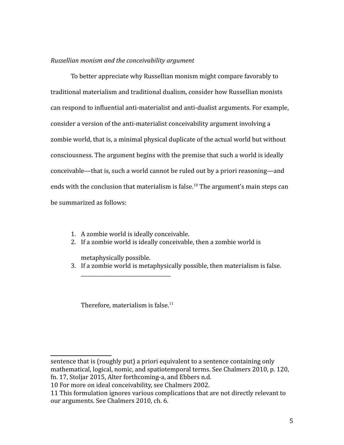# *Russellian monism and the conceivability argument*

To better appreciate why Russellian monism might compare favorably to traditional materialism and traditional dualism, consider how Russellian monists can respond to influential anti-materialist and anti-dualist arguments. For example, consider a version of the anti-materialist conceivability argument involving a zombie world, that is, a minimal physical duplicate of the actual world but without consciousness. The argument begins with the premise that such a world is ideally conceivable—that is, such a world cannot be ruled out by a priori reasoning—and ends with the conclusion that materialism is false.<sup>[10](#page-4-0)</sup> The argument's main steps can be summarized as follows:

- 1. A zombie world is ideally conceivable.
- 2. If a zombie world is ideally conceivable, then a zombie world is

metaphysically possible.

3. If a zombie world is metaphysically possible, then materialism is false.

Therefore, materialism is false. $11$ 

\_\_\_\_\_\_\_\_\_\_\_\_\_\_\_\_\_\_\_\_\_\_\_\_\_\_\_\_\_\_\_\_\_\_\_\_

sentence that is (roughly put) a priori equivalent to a sentence containing only mathematical, logical, nomic, and spatiotemporal terms. See Chalmers 2010, p. 120, fn. 17, Stoljar 2015, Alter forthcoming-a, and Ebbers n.d.

<span id="page-4-0"></span><sup>10</sup> For more on ideal conceivability, see Chalmers 2002.

<span id="page-4-1"></span><sup>11</sup> This formulation ignores various complications that are not directly relevant to our arguments. See Chalmers 2010, ch. 6.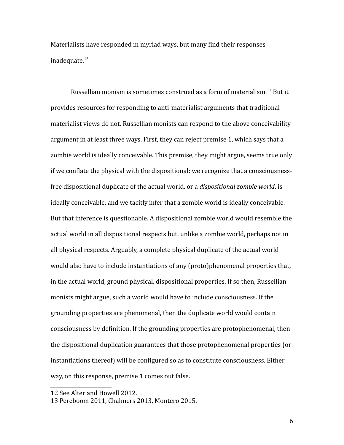Materialists have responded in myriad ways, but many find their responses inadequate.<sup>[12](#page-5-0)</sup>

Russellian monism is sometimes construed as a form of materialism.[13](#page-5-1) But it provides resources for responding to anti-materialist arguments that traditional materialist views do not. Russellian monists can respond to the above conceivability argument in at least three ways. First, they can reject premise 1, which says that a zombie world is ideally conceivable. This premise, they might argue, seems true only if we conflate the physical with the dispositional: we recognize that a consciousnessfree dispositional duplicate of the actual world, or a *dispositional zombie world*, is ideally conceivable, and we tacitly infer that a zombie world is ideally conceivable. But that inference is questionable. A dispositional zombie world would resemble the actual world in all dispositional respects but, unlike a zombie world, perhaps not in all physical respects. Arguably, a complete physical duplicate of the actual world would also have to include instantiations of any (proto)phenomenal properties that, in the actual world, ground physical, dispositional properties. If so then, Russellian monists might argue, such a world would have to include consciousness. If the grounding properties are phenomenal, then the duplicate world would contain consciousness by definition. If the grounding properties are protophenomenal, then the dispositional duplication guarantees that those protophenomenal properties (or instantiations thereof) will be configured so as to constitute consciousness. Either way, on this response, premise 1 comes out false.

<span id="page-5-0"></span><sup>12</sup> See Alter and Howell 2012.

<span id="page-5-1"></span><sup>13</sup> Pereboom 2011, Chalmers 2013, Montero 2015.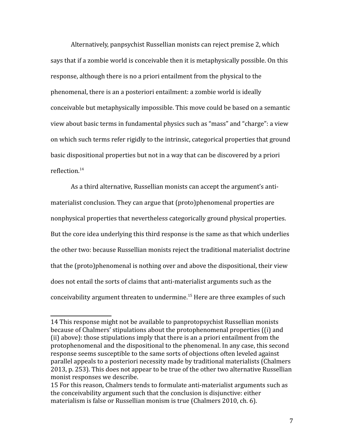Alternatively, panpsychist Russellian monists can reject premise 2, which says that if a zombie world is conceivable then it is metaphysically possible. On this response, although there is no a priori entailment from the physical to the phenomenal, there is an a posteriori entailment: a zombie world is ideally conceivable but metaphysically impossible. This move could be based on a semantic view about basic terms in fundamental physics such as "mass" and "charge": a view on which such terms refer rigidly to the intrinsic, categorical properties that ground basic dispositional properties but not in a way that can be discovered by a priori reflection.[14](#page-6-0)

As a third alternative, Russellian monists can accept the argument's antimaterialist conclusion. They can argue that (proto)phenomenal properties are nonphysical properties that nevertheless categorically ground physical properties. But the core idea underlying this third response is the same as that which underlies the other two: because Russellian monists reject the traditional materialist doctrine that the (proto)phenomenal is nothing over and above the dispositional, their view does not entail the sorts of claims that anti-materialist arguments such as the conceivability argument threaten to undermine.[15](#page-6-1) Here are three examples of such

<span id="page-6-0"></span><sup>14</sup> This response might not be available to panprotopsychist Russellian monists because of Chalmers' stipulations about the protophenomenal properties ((i) and (ii) above): those stipulations imply that there is an a priori entailment from the protophenomenal and the dispositional to the phenomenal. In any case, this second response seems susceptible to the same sorts of objections often leveled against parallel appeals to a posteriori necessity made by traditional materialists (Chalmers 2013, p. 253). This does not appear to be true of the other two alternative Russellian monist responses we describe.

<span id="page-6-1"></span><sup>15</sup> For this reason, Chalmers tends to formulate anti-materialist arguments such as the conceivability argument such that the conclusion is disjunctive: either materialism is false or Russellian monism is true (Chalmers 2010, ch. 6).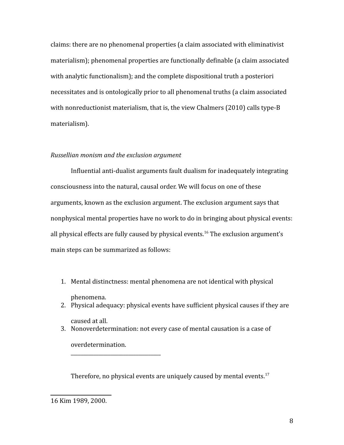claims: there are no phenomenal properties (a claim associated with eliminativist materialism); phenomenal properties are functionally definable (a claim associated with analytic functionalism); and the complete dispositional truth a posteriori necessitates and is ontologically prior to all phenomenal truths (a claim associated with nonreductionist materialism, that is, the view Chalmers (2010) calls type-B materialism).

#### *Russellian monism and the exclusion argument*

\_\_\_\_\_\_\_\_\_\_\_\_\_\_\_\_\_\_\_\_\_\_\_\_\_\_\_\_\_\_\_\_\_\_\_\_

Influential anti-dualist arguments fault dualism for inadequately integrating consciousness into the natural, causal order. We will focus on one of these arguments, known as the exclusion argument. The exclusion argument says that nonphysical mental properties have no work to do in bringing about physical events: all physical effects are fully caused by physical events.<sup>[16](#page-7-0)</sup> The exclusion argument's main steps can be summarized as follows:

1. Mental distinctness: mental phenomena are not identical with physical

phenomena.

- 2. Physical adequacy: physical events have sufficient physical causes if they are caused at all.
- 3. Nonoverdetermination: not every case of mental causation is a case of overdetermination.

Therefore, no physical events are uniquely caused by mental events.<sup>17</sup>

<span id="page-7-0"></span><sup>16</sup> Kim 1989, 2000.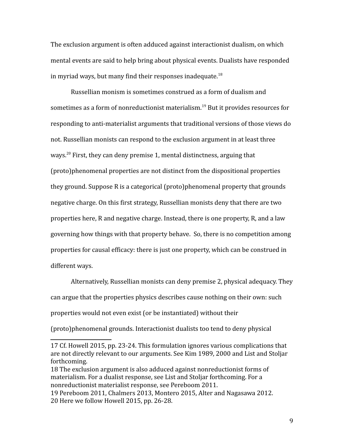The exclusion argument is often adduced against interactionist dualism, on which mental events are said to help bring about physical events. Dualists have responded in myriad ways, but many find their responses inadequate.<sup>[18](#page-8-0)</sup>

Russellian monism is sometimes construed as a form of dualism and sometimes as a form of nonreductionist materialism.<sup>[19](#page-8-1)</sup> But it provides resources for responding to anti-materialist arguments that traditional versions of those views do not. Russellian monists can respond to the exclusion argument in at least three ways.<sup>[20](#page-8-2)</sup> First, they can deny premise 1, mental distinctness, arguing that (proto)phenomenal properties are not distinct from the dispositional properties they ground. Suppose R is a categorical (proto)phenomenal property that grounds negative charge. On this first strategy, Russellian monists deny that there are two properties here, R and negative charge. Instead, there is one property, R, and a law governing how things with that property behave. So, there is no competition among properties for causal efficacy: there is just one property, which can be construed in different ways.

Alternatively, Russellian monists can deny premise 2, physical adequacy. They can argue that the properties physics describes cause nothing on their own: such properties would not even exist (or be instantiated) without their

(proto)phenomenal grounds. Interactionist dualists too tend to deny physical

<sup>17</sup> Cf. Howell 2015, pp. 23-24. This formulation ignores various complications that are not directly relevant to our arguments. See Kim 1989, 2000 and List and Stoljar forthcoming.

<span id="page-8-0"></span><sup>18</sup> The exclusion argument is also adduced against nonreductionist forms of materialism. For a dualist response, see List and Stoljar forthcoming. For a nonreductionist materialist response, see Pereboom 2011.

<span id="page-8-2"></span><span id="page-8-1"></span><sup>19</sup> Pereboom 2011, Chalmers 2013, Montero 2015, Alter and Nagasawa 2012. 20 Here we follow Howell 2015, pp. 26-28.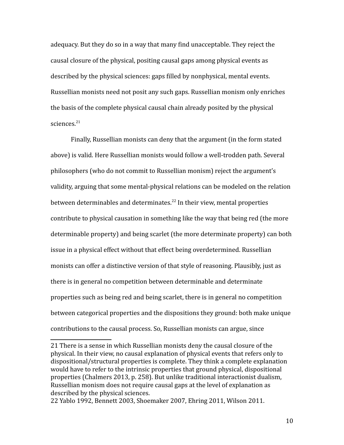adequacy. But they do so in a way that many find unacceptable. They reject the causal closure of the physical, positing causal gaps among physical events as described by the physical sciences: gaps filled by nonphysical, mental events. Russellian monists need not posit any such gaps. Russellian monism only enriches the basis of the complete physical causal chain already posited by the physical sciences.<sup>[21](#page-9-0)</sup>

Finally, Russellian monists can deny that the argument (in the form stated above) is valid. Here Russellian monists would follow a well-trodden path. Several philosophers (who do not commit to Russellian monism) reject the argument's validity, arguing that some mental-physical relations can be modeled on the relation between determinables and determinates.<sup>[22](#page-9-1)</sup> In their view, mental properties contribute to physical causation in something like the way that being red (the more determinable property) and being scarlet (the more determinate property) can both issue in a physical effect without that effect being overdetermined. Russellian monists can offer a distinctive version of that style of reasoning. Plausibly, just as there is in general no competition between determinable and determinate properties such as being red and being scarlet, there is in general no competition between categorical properties and the dispositions they ground: both make unique contributions to the causal process. So, Russellian monists can argue, since

<span id="page-9-0"></span><sup>21</sup> There is a sense in which Russellian monists deny the causal closure of the physical. In their view, no causal explanation of physical events that refers only to dispositional/structural properties is complete. They think a complete explanation would have to refer to the intrinsic properties that ground physical, dispositional properties (Chalmers 2013, p. 258). But unlike traditional interactionist dualism, Russellian monism does not require causal gaps at the level of explanation as described by the physical sciences.

<span id="page-9-1"></span><sup>22</sup> Yablo 1992, Bennett 2003, Shoemaker 2007, Ehring 2011, Wilson 2011.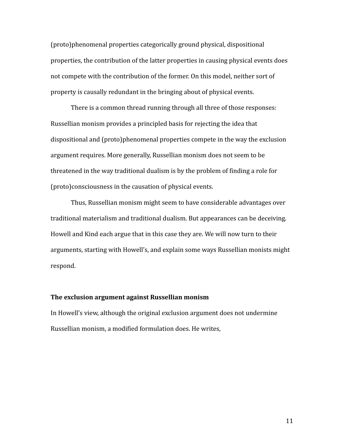(proto)phenomenal properties categorically ground physical, dispositional properties, the contribution of the latter properties in causing physical events does not compete with the contribution of the former. On this model, neither sort of property is causally redundant in the bringing about of physical events.

There is a common thread running through all three of those responses: Russellian monism provides a principled basis for rejecting the idea that dispositional and (proto)phenomenal properties compete in the way the exclusion argument requires. More generally, Russellian monism does not seem to be threatened in the way traditional dualism is by the problem of finding a role for (proto)consciousness in the causation of physical events.

Thus, Russellian monism might seem to have considerable advantages over traditional materialism and traditional dualism. But appearances can be deceiving. Howell and Kind each argue that in this case they are. We will now turn to their arguments, starting with Howell's, and explain some ways Russellian monists might respond.

## **The exclusion argument against Russellian monism**

In Howell's view, although the original exclusion argument does not undermine Russellian monism, a modified formulation does. He writes,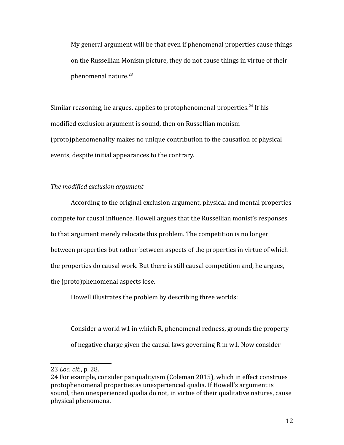My general argument will be that even if phenomenal properties cause things on the Russellian Monism picture, they do not cause things in virtue of their phenomenal nature. $23$ 

Similar reasoning, he argues, applies to protophenomenal properties.<sup>[24](#page-11-1)</sup> If his modified exclusion argument is sound, then on Russellian monism (proto)phenomenality makes no unique contribution to the causation of physical events, despite initial appearances to the contrary.

#### *The modified exclusion argument*

According to the original exclusion argument, physical and mental properties compete for causal influence. Howell argues that the Russellian monist's responses to that argument merely relocate this problem. The competition is no longer between properties but rather between aspects of the properties in virtue of which the properties do causal work. But there is still causal competition and, he argues, the (proto)phenomenal aspects lose.

Howell illustrates the problem by describing three worlds:

Consider a world w1 in which R, phenomenal redness, grounds the property of negative charge given the causal laws governing R in w1. Now consider

<span id="page-11-0"></span><sup>23</sup> *Loc. cit.*, p. 28.

<span id="page-11-1"></span><sup>24</sup> For example, consider panqualityism (Coleman 2015), which in effect construes protophenomenal properties as unexperienced qualia. If Howell's argument is sound, then unexperienced qualia do not, in virtue of their qualitative natures, cause physical phenomena.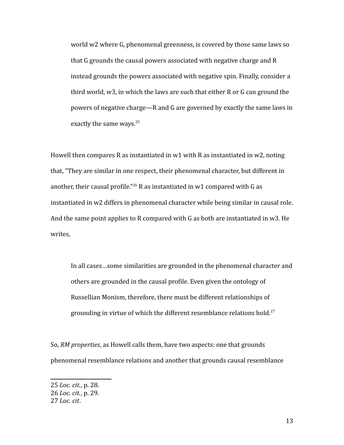world w2 where G, phenomenal greenness, is covered by those same laws so that G grounds the causal powers associated with negative charge and R instead grounds the powers associated with negative spin. Finally, consider a third world, w3, in which the laws are such that either R or G can ground the powers of negative charge—R and G are governed by exactly the same laws in exactly the same ways.<sup>[25](#page-12-0)</sup>

Howell then compares R as instantiated in w1 with R as instantiated in w2, noting that, "They are similar in one respect, their phenomenal character, but different in another, their causal profile."<sup>[26](#page-12-1)</sup> R as instantiated in w1 compared with G as instantiated in w2 differs in phenomenal character while being similar in causal role. And the same point applies to R compared with G as both are instantiated in w3. He writes,

In all cases…some similarities are grounded in the phenomenal character and others are grounded in the causal profile. Even given the ontology of Russellian Monism, therefore, there must be different relationships of grounding in virtue of which the different resemblance relations hold.<sup>[27](#page-12-2)</sup>

So, *RM properties*, as Howell calls them, have two aspects: one that grounds phenomenal resemblance relations and another that grounds causal resemblance

<span id="page-12-0"></span><sup>25</sup> *Loc. cit.*, p. 28.

<span id="page-12-1"></span><sup>26</sup> *Loc. cit.*, p. 29.

<span id="page-12-2"></span><sup>27</sup> *Loc. cit*.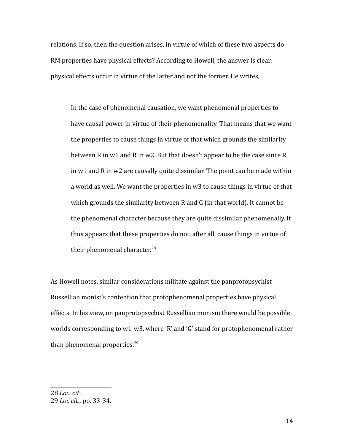relations. If so, then the question arises, in virtue of which of these two aspects do RM properties have physical effects? According to Howell, the answer is clear: physical effects occur in virtue of the latter and not the former. He writes,

In the case of phenomenal causation, we want phenomenal properties to have causal power in virtue of their phenomenality. That means that we want the properties to cause things in virtue of that which grounds the similarity between R in w1 and R in w2. But that doesn't appear to be the case since R in w1 and R in w2 are causally quite dissimilar. The point can be made within a world as well. We want the properties in w3 to cause things in virtue of that which grounds the similarity between R and G (in that world). It cannot be the phenomenal character because they are quite dissimilar phenomenally. It thus appears that these properties do not, after all, cause things in virtue of their phenomenal character.<sup>[28](#page-13-0)</sup>

As Howell notes, similar considerations militate against the panprotopsychist Russellian monist's contention that protophenomenal properties have physical effects. In his view, on panprotopsychist Russellian monism there would be possible worlds corresponding to w1-w3, where 'R' and 'G' stand for protophenomenal rather than phenomenal properties. $29$ 

<span id="page-13-1"></span><span id="page-13-0"></span><sup>28</sup> *Loc. cit*. 29 *Loc cit*., pp. 33-34.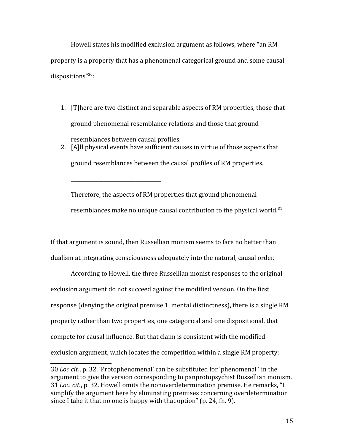Howell states his modified exclusion argument as follows, where "an RM property is a property that has a phenomenal categorical ground and some causal dispositions"<sup>[30](#page-14-0)</sup>:

- 1. [T]here are two distinct and separable aspects of RM properties, those that ground phenomenal resemblance relations and those that ground resemblances between causal profiles.
- 2. [A]ll physical events have sufficient causes in virtue of those aspects that ground resemblances between the causal profiles of RM properties.

\_\_\_\_\_\_\_\_\_\_\_\_\_\_\_\_\_\_\_\_\_\_\_\_\_\_\_\_\_\_\_\_\_\_\_\_

Therefore, the aspects of RM properties that ground phenomenal resemblances make no unique causal contribution to the physical world.<sup>[31](#page-14-1)</sup>

If that argument is sound, then Russellian monism seems to fare no better than dualism at integrating consciousness adequately into the natural, causal order.

According to Howell, the three Russellian monist responses to the original exclusion argument do not succeed against the modified version. On the first response (denying the original premise 1, mental distinctness), there is a single RM property rather than two properties, one categorical and one dispositional, that compete for causal influence. But that claim is consistent with the modified exclusion argument, which locates the competition within a single RM property:

<span id="page-14-1"></span><span id="page-14-0"></span><sup>30</sup> *Loc cit*., p. 32. 'Protophenomenal' can be substituted for 'phenomenal ' in the argument to give the version corresponding to panprotopsychist Russellian monism. 31 *Loc. cit.*, p. 32. Howell omits the nonoverdetermination premise. He remarks, "I simplify the argument here by eliminating premises concerning overdetermination since I take it that no one is happy with that option" (p. 24, fn. 9).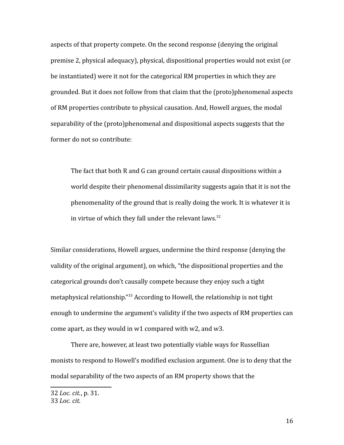aspects of that property compete. On the second response (denying the original premise 2, physical adequacy), physical, dispositional properties would not exist (or be instantiated) were it not for the categorical RM properties in which they are grounded. But it does not follow from that claim that the (proto)phenomenal aspects of RM properties contribute to physical causation. And, Howell argues, the modal separability of the (proto)phenomenal and dispositional aspects suggests that the former do not so contribute:

The fact that both R and G can ground certain causal dispositions within a world despite their phenomenal dissimilarity suggests again that it is not the phenomenality of the ground that is really doing the work. It is whatever it is in virtue of which they fall under the relevant laws. $32$ 

Similar considerations, Howell argues, undermine the third response (denying the validity of the original argument), on which, "the dispositional properties and the categorical grounds don't causally compete because they enjoy such a tight metaphysical relationship."[33](#page-15-1) According to Howell, the relationship is not tight enough to undermine the argument's validity if the two aspects of RM properties can come apart, as they would in w1 compared with w2, and w3.

There are, however, at least two potentially viable ways for Russellian monists to respond to Howell's modified exclusion argument. One is to deny that the modal separability of the two aspects of an RM property shows that the

<span id="page-15-1"></span><span id="page-15-0"></span><sup>32</sup> *Loc. cit.*, p. 31. 33 *Loc. cit.*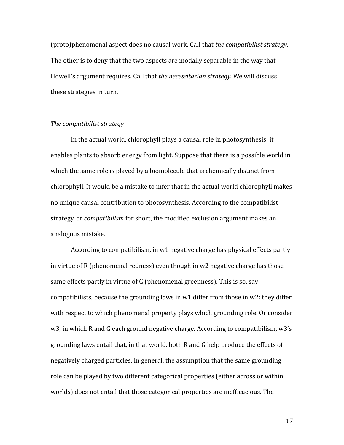(proto)phenomenal aspect does no causal work. Call that *the compatibilist strategy*. The other is to deny that the two aspects are modally separable in the way that Howell's argument requires. Call that *the necessitarian strategy*. We will discuss these strategies in turn.

## *The compatibilist strategy*

In the actual world, chlorophyll plays a causal role in photosynthesis: it enables plants to absorb energy from light. Suppose that there is a possible world in which the same role is played by a biomolecule that is chemically distinct from chlorophyll. It would be a mistake to infer that in the actual world chlorophyll makes no unique causal contribution to photosynthesis. According to the compatibilist strategy, or *compatibilism* for short, the modified exclusion argument makes an analogous mistake.

According to compatibilism, in w1 negative charge has physical effects partly in virtue of R (phenomenal redness) even though in w2 negative charge has those same effects partly in virtue of G (phenomenal greenness). This is so, say compatibilists, because the grounding laws in w1 differ from those in w2: they differ with respect to which phenomenal property plays which grounding role. Or consider w3, in which R and G each ground negative charge. According to compatibilism, w3's grounding laws entail that, in that world, both R and G help produce the effects of negatively charged particles. In general, the assumption that the same grounding role can be played by two different categorical properties (either across or within worlds) does not entail that those categorical properties are inefficacious. The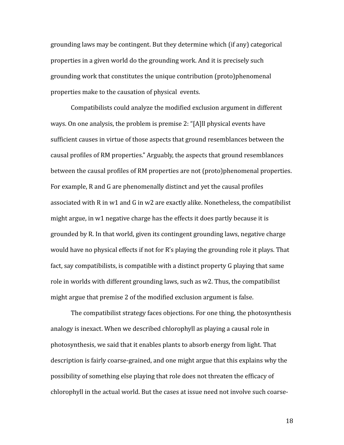grounding laws may be contingent. But they determine which (if any) categorical properties in a given world do the grounding work. And it is precisely such grounding work that constitutes the unique contribution (proto)phenomenal properties make to the causation of physical events.

Compatibilists could analyze the modified exclusion argument in different ways. On one analysis, the problem is premise 2: "[A]ll physical events have sufficient causes in virtue of those aspects that ground resemblances between the causal profiles of RM properties." Arguably, the aspects that ground resemblances between the causal profiles of RM properties are not (proto)phenomenal properties. For example, R and G are phenomenally distinct and yet the causal profiles associated with R in w1 and G in w2 are exactly alike. Nonetheless, the compatibilist might argue, in w1 negative charge has the effects it does partly because it is grounded by R. In that world, given its contingent grounding laws, negative charge would have no physical effects if not for R's playing the grounding role it plays. That fact, say compatibilists, is compatible with a distinct property G playing that same role in worlds with different grounding laws, such as w2. Thus, the compatibilist might argue that premise 2 of the modified exclusion argument is false.

The compatibilist strategy faces objections. For one thing, the photosynthesis analogy is inexact. When we described chlorophyll as playing a causal role in photosynthesis, we said that it enables plants to absorb energy from light. That description is fairly coarse-grained, and one might argue that this explains why the possibility of something else playing that role does not threaten the efficacy of chlorophyll in the actual world. But the cases at issue need not involve such coarse-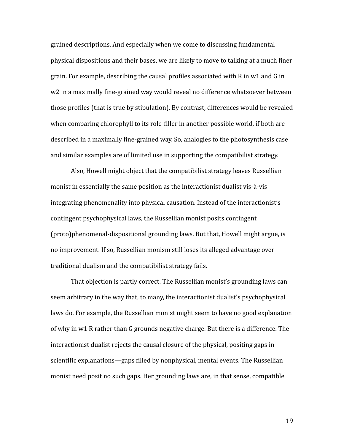grained descriptions. And especially when we come to discussing fundamental physical dispositions and their bases, we are likely to move to talking at a much finer grain. For example, describing the causal profiles associated with R in w1 and G in w2 in a maximally fine-grained way would reveal no difference whatsoever between those profiles (that is true by stipulation). By contrast, differences would be revealed when comparing chlorophyll to its role-filler in another possible world, if both are described in a maximally fine-grained way. So, analogies to the photosynthesis case and similar examples are of limited use in supporting the compatibilist strategy.

Also, Howell might object that the compatibilist strategy leaves Russellian monist in essentially the same position as the interactionist dualist vis-à-vis integrating phenomenality into physical causation. Instead of the interactionist's contingent psychophysical laws, the Russellian monist posits contingent (proto)phenomenal-dispositional grounding laws. But that, Howell might argue, is no improvement. If so, Russellian monism still loses its alleged advantage over traditional dualism and the compatibilist strategy fails.

That objection is partly correct. The Russellian monist's grounding laws can seem arbitrary in the way that, to many, the interactionist dualist's psychophysical laws do. For example, the Russellian monist might seem to have no good explanation of why in w1 R rather than G grounds negative charge. But there is a difference. The interactionist dualist rejects the causal closure of the physical, positing gaps in scientific explanations—gaps filled by nonphysical, mental events. The Russellian monist need posit no such gaps. Her grounding laws are, in that sense, compatible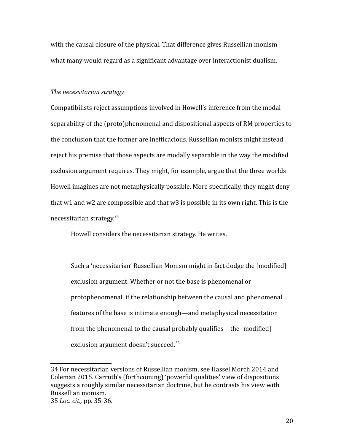with the causal closure of the physical. That difference gives Russellian monism what many would regard as a significant advantage over interactionist dualism.

#### *The necessitarian strategy*

Compatibilists reject assumptions involved in Howell's inference from the modal separability of the (proto)phenomenal and dispositional aspects of RM properties to the conclusion that the former are inefficacious. Russellian monists might instead reject his premise that those aspects are modally separable in the way the modified exclusion argument requires. They might, for example, argue that the three worlds Howell imagines are not metaphysically possible. More specifically, they might deny that w1 and w2 are compossible and that w3 is possible in its own right. This is the necessitarian strategy.[34](#page-19-0)

Howell considers the necessitarian strategy. He writes,

Such a 'necessitarian' Russellian Monism might in fact dodge the [modified] exclusion argument. Whether or not the base is phenomenal or protophenomenal, if the relationship between the causal and phenomenal features of the base is intimate enough—and metaphysical necessitation from the phenomenal to the causal probably qualifies—the [modified] exclusion argument doesn't succeed.<sup>[35](#page-19-1)</sup>

<span id="page-19-0"></span><sup>34</sup> For necessitarian versions of Russellian monism, see Hassel Morch 2014 and Coleman 2015. Carruth's (forthcoming) 'powerful qualities' view of dispositions suggests a roughly similar necessitarian doctrine, but he contrasts his view with Russellian monism.

<span id="page-19-1"></span><sup>35</sup> *Loc. cit.,* pp. 35-36.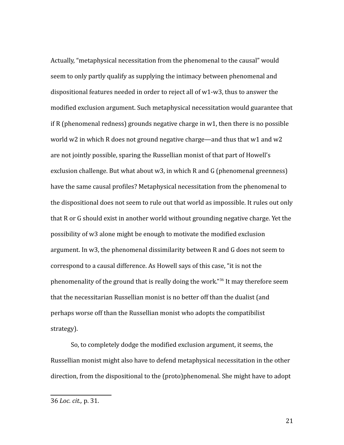Actually, "metaphysical necessitation from the phenomenal to the causal" would seem to only partly qualify as supplying the intimacy between phenomenal and dispositional features needed in order to reject all of w1-w3, thus to answer the modified exclusion argument. Such metaphysical necessitation would guarantee that if R (phenomenal redness) grounds negative charge in w1, then there is no possible world w2 in which R does not ground negative charge—and thus that w1 and w2 are not jointly possible, sparing the Russellian monist of that part of Howell's exclusion challenge. But what about w3, in which R and G (phenomenal greenness) have the same causal profiles? Metaphysical necessitation from the phenomenal to the dispositional does not seem to rule out that world as impossible. It rules out only that R or G should exist in another world without grounding negative charge. Yet the possibility of w3 alone might be enough to motivate the modified exclusion argument. In w3, the phenomenal dissimilarity between R and G does not seem to correspond to a causal difference. As Howell says of this case, "it is not the phenomenality of the ground that is really doing the work."[36](#page-20-0) It may therefore seem that the necessitarian Russellian monist is no better off than the dualist (and perhaps worse off than the Russellian monist who adopts the compatibilist strategy).

So, to completely dodge the modified exclusion argument, it seems, the Russellian monist might also have to defend metaphysical necessitation in the other direction, from the dispositional to the (proto)phenomenal. She might have to adopt

<span id="page-20-0"></span><sup>36</sup> *Loc. cit.,* p. 31.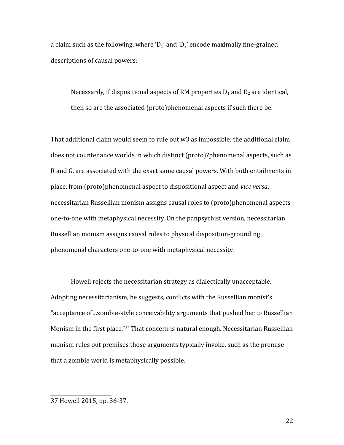a claim such as the following, where ' $D_1$ ' and ' $D_2$ ' encode maximally fine-grained descriptions of causal powers:

Necessarily, if dispositional aspects of RM properties  $D_1$  and  $D_2$  are identical, then so are the associated (proto)phenomenal aspects if such there be.

That additional claim would seem to rule out w3 as impossible: the additional claim does not countenance worlds in which distinct (proto)?phenomenal aspects, such as R and G, are associated with the exact same causal powers. With both entailments in place, from (proto)phenomenal aspect to dispositional aspect and *vice versa*, necessitarian Russellian monism assigns causal roles to (proto)phenomenal aspects one-to-one with metaphysical necessity. On the panpsychist version, necessitarian Russellian monism assigns causal roles to physical disposition-grounding phenomenal characters one-to-one with metaphysical necessity.

Howell rejects the necessitarian strategy as dialectically unacceptable. Adopting necessitarianism, he suggests, conflicts with the Russellian monist's "acceptance of…zombie-style conceivability arguments that pushed her to Russellian Monism in the first place."[37](#page-21-0) That concern is natural enough. Necessitarian Russellian monism rules out premises those arguments typically invoke, such as the premise that a zombie world is metaphysically possible.

<span id="page-21-0"></span><sup>37</sup> Howell 2015, pp. 36-37.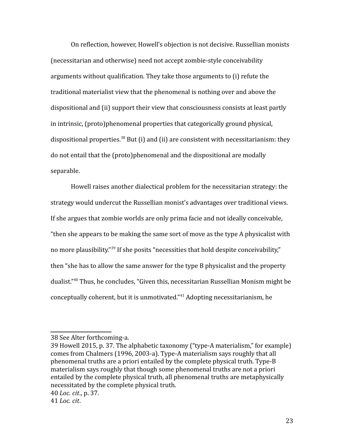On reflection, however, Howell's objection is not decisive. Russellian monists (necessitarian and otherwise) need not accept zombie-style conceivability arguments without qualification. They take those arguments to (i) refute the traditional materialist view that the phenomenal is nothing over and above the dispositional and (ii) support their view that consciousness consists at least partly in intrinsic, (proto)phenomenal properties that categorically ground physical, dispositional properties.<sup>[38](#page-22-0)</sup> But (i) and (ii) are consistent with necessitarianism: they do not entail that the (proto)phenomenal and the dispositional are modally separable.

Howell raises another dialectical problem for the necessitarian strategy: the strategy would undercut the Russellian monist's advantages over traditional views. If she argues that zombie worlds are only prima facie and not ideally conceivable, "then she appears to be making the same sort of move as the type A physicalist with no more plausibility."<sup>[39](#page-22-1)</sup> If she posits "necessities that hold despite conceivability," then "she has to allow the same answer for the type B physicalist and the property dualist."[40](#page-22-2) Thus, he concludes, "Given this, necessitarian Russellian Monism might be conceptually coherent, but it is unmotivated."[41](#page-22-3) Adopting necessitarianism, he

<span id="page-22-0"></span><sup>38</sup> See Alter forthcoming-a.

<span id="page-22-1"></span><sup>39</sup> Howell 2015, p. 37. The alphabetic taxonomy ("type-A materialism," for example) comes from Chalmers (1996, 2003-a). Type-A materialism says roughly that all phenomenal truths are a priori entailed by the complete physical truth. Type-B materialism says roughly that though some phenomenal truths are not a priori entailed by the complete physical truth, all phenomenal truths are metaphysically necessitated by the complete physical truth.

<span id="page-22-2"></span><sup>40</sup> *Loc. cit*., p. 37.

<span id="page-22-3"></span><sup>41</sup> *Loc. cit*.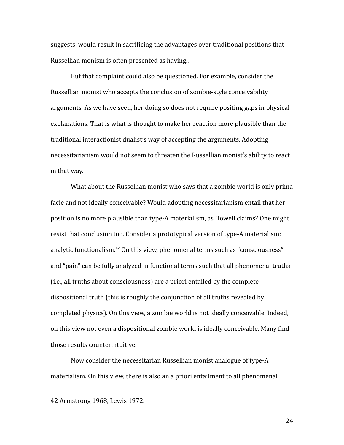suggests, would result in sacrificing the advantages over traditional positions that Russellian monism is often presented as having..

But that complaint could also be questioned. For example, consider the Russellian monist who accepts the conclusion of zombie-style conceivability arguments. As we have seen, her doing so does not require positing gaps in physical explanations. That is what is thought to make her reaction more plausible than the traditional interactionist dualist's way of accepting the arguments. Adopting necessitarianism would not seem to threaten the Russellian monist's ability to react in that way.

What about the Russellian monist who says that a zombie world is only prima facie and not ideally conceivable? Would adopting necessitarianism entail that her position is no more plausible than type-A materialism, as Howell claims? One might resist that conclusion too. Consider a prototypical version of type-A materialism: analytic functionalism.<sup>[42](#page-23-0)</sup> On this view, phenomenal terms such as "consciousness" and "pain" can be fully analyzed in functional terms such that all phenomenal truths (i.e., all truths about consciousness) are a priori entailed by the complete dispositional truth (this is roughly the conjunction of all truths revealed by completed physics). On this view, a zombie world is not ideally conceivable. Indeed, on this view not even a dispositional zombie world is ideally conceivable. Many find those results counterintuitive.

Now consider the necessitarian Russellian monist analogue of type-A materialism. On this view, there is also an a priori entailment to all phenomenal

<span id="page-23-0"></span><sup>42</sup> Armstrong 1968, Lewis 1972.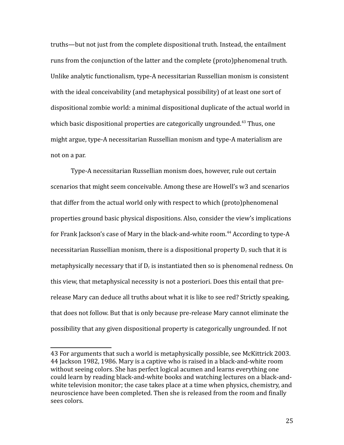truths—but not just from the complete dispositional truth. Instead, the entailment runs from the conjunction of the latter and the complete (proto)phenomenal truth. Unlike analytic functionalism, type-A necessitarian Russellian monism is consistent with the ideal conceivability (and metaphysical possibility) of at least one sort of dispositional zombie world: a minimal dispositional duplicate of the actual world in which basic dispositional properties are categorically ungrounded.<sup>[43](#page-24-0)</sup> Thus, one might argue, type-A necessitarian Russellian monism and type-A materialism are not on a par.

Type-A necessitarian Russellian monism does, however, rule out certain scenarios that might seem conceivable. Among these are Howell's w3 and scenarios that differ from the actual world only with respect to which (proto)phenomenal properties ground basic physical dispositions. Also, consider the view's implications for Frank Jackson's case of Mary in the black-and-white room.<sup>[44](#page-24-1)</sup> According to type-A necessitarian Russellian monism, there is a dispositional property  $D_r$  such that it is metaphysically necessary that if  $D_r$  is instantiated then so is phenomenal redness. On this view, that metaphysical necessity is not a posteriori. Does this entail that prerelease Mary can deduce all truths about what it is like to see red? Strictly speaking, that does not follow. But that is only because pre-release Mary cannot eliminate the possibility that any given dispositional property is categorically ungrounded. If not

<span id="page-24-1"></span><span id="page-24-0"></span><sup>43</sup> For arguments that such a world is metaphysically possible, see McKittrick 2003. 44 Jackson 1982, 1986. Mary is a captive who is raised in a black-and-white room without seeing colors. She has perfect logical acumen and learns everything one could learn by reading black-and-white books and watching lectures on a black-andwhite television monitor; the case takes place at a time when physics, chemistry, and neuroscience have been completed. Then she is released from the room and finally sees colors.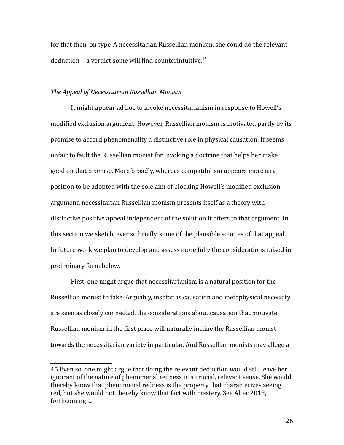for that then, on type-A necessitarian Russellian monism, she could do the relevant deduction—a verdict some will find counterintuitive.<sup>[45](#page-25-0)</sup>

## *The Appeal of Necessitarian Russellian Monism*

It might appear ad hoc to invoke necessitarianism in response to Howell's modified exclusion argument. However, Russellian monism is motivated partly by its promise to accord phenomenality a distinctive role in physical causation. It seems unfair to fault the Russellian monist for invoking a doctrine that helps her make good on that promise. More broadly, whereas compatibilism appears more as a position to be adopted with the sole aim of blocking Howell's modified exclusion argument, necessitarian Russellian monism presents itself as a theory with distinctive positive appeal independent of the solution it offers to that argument. In this section we sketch, ever so briefly, some of the plausible sources of that appeal. In future work we plan to develop and assess more fully the considerations raised in preliminary form below.

First, one might argue that necessitarianism is a natural position for the Russellian monist to take. Arguably, insofar as causation and metaphysical necessity are seen as closely connected, the considerations about causation that motivate Russellian monism in the first place will naturally incline the Russellian monist towards the necessitarian variety in particular. And Russellian monists may allege a

<span id="page-25-0"></span><sup>45</sup> Even so, one might argue that doing the relevant deduction would still leave her ignorant of the nature of phenomenal redness in a crucial, relevant sense. She would thereby know that phenomenal redness is the property that characterizes seeing red, but she would not thereby know that fact with mastery. See Alter 2013, forthcoming-c.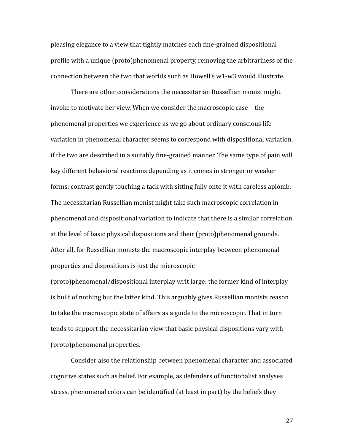pleasing elegance to a view that tightly matches each fine-grained dispositional profile with a unique (proto)phenomenal property, removing the arbitrariness of the connection between the two that worlds such as Howell's w1-w3 would illustrate.

There are other considerations the necessitarian Russellian monist might invoke to motivate her view. When we consider the macroscopic case—the phenomenal properties we experience as we go about ordinary conscious life variation in phenomenal character seems to correspond with dispositional variation, if the two are described in a suitably fine-grained manner. The same type of pain will key different behavioral reactions depending as it comes in stronger or weaker forms: contrast gently touching a tack with sitting fully onto it with careless aplomb. The necessitarian Russellian monist might take such macroscopic correlation in phenomenal and dispositional variation to indicate that there is a similar correlation at the level of basic physical dispositions and their (proto)phenomenal grounds. After all, for Russellian monists the macroscopic interplay between phenomenal properties and dispositions is just the microscopic

(proto)phenomenal/dispositional interplay writ large: the former kind of interplay is built of nothing but the latter kind. This arguably gives Russellian monists reason to take the macroscopic state of affairs as a guide to the microscopic. That in turn tends to support the necessitarian view that basic physical dispositions vary with (proto)phenomenal properties.

Consider also the relationship between phenomenal character and associated cognitive states such as belief. For example, as defenders of functionalist analyses stress, phenomenal colors can be identified (at least in part) by the beliefs they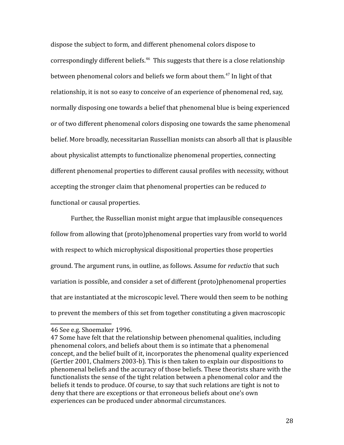dispose the subject to form, and different phenomenal colors dispose to correspondingly different beliefs.<sup>[46](#page-27-0)</sup> This suggests that there is a close relationship between phenomenal colors and beliefs we form about them.<sup>[47](#page-27-1)</sup> In light of that relationship, it is not so easy to conceive of an experience of phenomenal red, say, normally disposing one towards a belief that phenomenal blue is being experienced or of two different phenomenal colors disposing one towards the same phenomenal belief. More broadly, necessitarian Russellian monists can absorb all that is plausible about physicalist attempts to functionalize phenomenal properties, connecting different phenomenal properties to different causal profiles with necessity, without accepting the stronger claim that phenomenal properties can be reduced *to* functional or causal properties.

Further, the Russellian monist might argue that implausible consequences follow from allowing that (proto)phenomenal properties vary from world to world with respect to which microphysical dispositional properties those properties ground. The argument runs, in outline, as follows. Assume for *reductio* that such variation is possible, and consider a set of different (proto)phenomenal properties that are instantiated at the microscopic level. There would then seem to be nothing to prevent the members of this set from together constituting a given macroscopic

<span id="page-27-0"></span><sup>46</sup> See e.g. Shoemaker 1996.

<span id="page-27-1"></span><sup>47</sup> Some have felt that the relationship between phenomenal qualities, including phenomenal colors, and beliefs about them is so intimate that a phenomenal concept, and the belief built of it, incorporates the phenomenal quality experienced (Gertler 2001, Chalmers 2003-b). This is then taken to explain our dispositions to phenomenal beliefs and the accuracy of those beliefs. These theorists share with the functionalists the sense of the tight relation between a phenomenal color and the beliefs it tends to produce. Of course, to say that such relations are tight is not to deny that there are exceptions or that erroneous beliefs about one's own experiences can be produced under abnormal circumstances.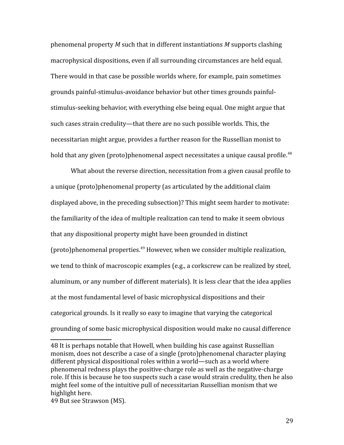phenomenal property *M* such that in different instantiations *M* supports clashing macrophysical dispositions, even if all surrounding circumstances are held equal. There would in that case be possible worlds where, for example, pain sometimes grounds painful-stimulus-avoidance behavior but other times grounds painfulstimulus-seeking behavior, with everything else being equal. One might argue that such cases strain credulity—that there are no such possible worlds. This, the necessitarian might argue, provides a further reason for the Russellian monist to hold that any given (proto)phenomenal aspect necessitates a unique causal profile.<sup>[48](#page-28-0)</sup>

What about the reverse direction, necessitation from a given causal profile to a unique (proto)phenomenal property (as articulated by the additional claim displayed above, in the preceding subsection)? This might seem harder to motivate: the familiarity of the idea of multiple realization can tend to make it seem obvious that any dispositional property might have been grounded in distinct  $(proto)$  phenomenal properties.<sup>[49](#page-28-1)</sup> However, when we consider multiple realization, we tend to think of macroscopic examples (e.g., a corkscrew can be realized by steel, aluminum, or any number of different materials). It is less clear that the idea applies at the most fundamental level of basic microphysical dispositions and their categorical grounds. Is it really so easy to imagine that varying the categorical grounding of some basic microphysical disposition would make no causal difference

<span id="page-28-0"></span><sup>48</sup> It is perhaps notable that Howell, when building his case against Russellian monism, does not describe a case of a single (proto)phenomenal character playing different physical dispositional roles within a world—such as a world where phenomenal redness plays the positive-charge role as well as the negative-charge role. If this is because he too suspects such a case would strain credulity, then he also might feel some of the intuitive pull of necessitarian Russellian monism that we highlight here.

<span id="page-28-1"></span><sup>49</sup> But see Strawson (MS).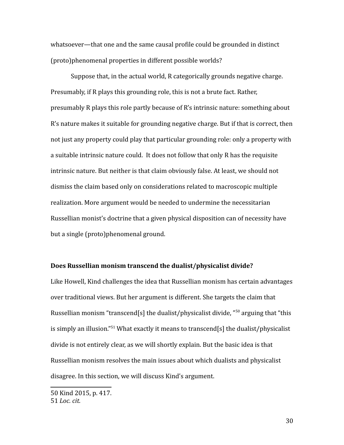whatsoever—that one and the same causal profile could be grounded in distinct (proto)phenomenal properties in different possible worlds?

Suppose that, in the actual world, R categorically grounds negative charge. Presumably, if R plays this grounding role, this is not a brute fact. Rather, presumably R plays this role partly because of R's intrinsic nature: something about R's nature makes it suitable for grounding negative charge. But if that is correct, then not just any property could play that particular grounding role: only a property with a suitable intrinsic nature could. It does not follow that only R has the requisite intrinsic nature. But neither is that claim obviously false. At least, we should not dismiss the claim based only on considerations related to macroscopic multiple realization. More argument would be needed to undermine the necessitarian Russellian monist's doctrine that a given physical disposition can of necessity have but a single (proto)phenomenal ground.

#### **Does Russellian monism transcend the dualist/physicalist divide?**

Like Howell, Kind challenges the idea that Russellian monism has certain advantages over traditional views. But her argument is different. She targets the claim that Russellian monism "transcend[s] the dualist/physicalist divide,  $\frac{1}{2}$  arguing that "this is simply an illusion."<sup>[51](#page-29-1)</sup> What exactly it means to transcend[s] the dualist/physicalist divide is not entirely clear, as we will shortly explain. But the basic idea is that Russellian monism resolves the main issues about which dualists and physicalist disagree. In this section, we will discuss Kind's argument.

<span id="page-29-1"></span><span id="page-29-0"></span><sup>50</sup> Kind 2015, p. 417. 51 *Loc. cit.*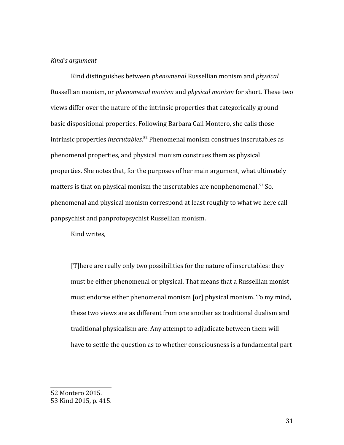#### *Kind's argument*

Kind distinguishes between *phenomenal* Russellian monism and *physical* Russellian monism, or *phenomenal monism* and *physical monism* for short. These two views differ over the nature of the intrinsic properties that categorically ground basic dispositional properties. Following Barbara Gail Montero, she calls those intrinsic properties *inscrutables*. [52](#page-30-0) Phenomenal monism construes inscrutables as phenomenal properties, and physical monism construes them as physical properties. She notes that, for the purposes of her main argument, what ultimately matters is that on physical monism the inscrutables are nonphenomenal.<sup>[53](#page-30-1)</sup> So, phenomenal and physical monism correspond at least roughly to what we here call panpsychist and panprotopsychist Russellian monism.

Kind writes,

[T]here are really only two possibilities for the nature of inscrutables: they must be either phenomenal or physical. That means that a Russellian monist must endorse either phenomenal monism [or] physical monism. To my mind, these two views are as different from one another as traditional dualism and traditional physicalism are. Any attempt to adjudicate between them will have to settle the question as to whether consciousness is a fundamental part

<span id="page-30-0"></span><sup>52</sup> Montero 2015.

<span id="page-30-1"></span><sup>53</sup> Kind 2015, p. 415.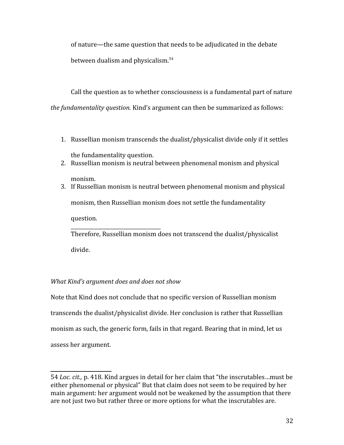of nature—the same question that needs to be adjudicated in the debate between dualism and physicalism.<sup>[54](#page-31-0)</sup>

Call the question as to whether consciousness is a fundamental part of nature *the fundamentality question.* Kind's argument can then be summarized as follows:

- 1. Russellian monism transcends the dualist/physicalist divide only if it settles the fundamentality question.
- 2. Russellian monism is neutral between phenomenal monism and physical

monism.

3. If Russellian monism is neutral between phenomenal monism and physical monism, then Russellian monism does not settle the fundamentality question. \_\_\_\_\_\_\_\_\_\_\_\_\_\_\_\_\_\_\_\_\_\_\_\_\_\_\_\_\_\_\_\_\_\_\_\_

Therefore, Russellian monism does not transcend the dualist/physicalist divide.

# *What Kind's argument does and does not show*

Note that Kind does not conclude that no specific version of Russellian monism transcends the dualist/physicalist divide. Her conclusion is rather that Russellian monism as such, the generic form, fails in that regard. Bearing that in mind, let us assess her argument.

<span id="page-31-0"></span><sup>54</sup> *Loc. cit.,* p. 418. Kind argues in detail for her claim that "the inscrutables…must be either phenomenal or physical" But that claim does not seem to be required by her main argument: her argument would not be weakened by the assumption that there are not just two but rather three or more options for what the inscrutables are.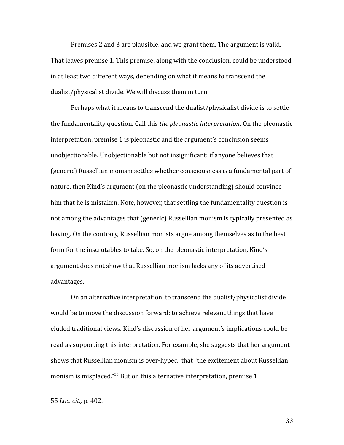Premises 2 and 3 are plausible, and we grant them. The argument is valid. That leaves premise 1. This premise, along with the conclusion, could be understood in at least two different ways, depending on what it means to transcend the dualist/physicalist divide. We will discuss them in turn.

Perhaps what it means to transcend the dualist/physicalist divide is to settle the fundamentality question*.* Call this *the pleonastic interpretation*. On the pleonastic interpretation, premise 1 is pleonastic and the argument's conclusion seems unobjectionable. Unobjectionable but not insignificant: if anyone believes that (generic) Russellian monism settles whether consciousness is a fundamental part of nature, then Kind's argument (on the pleonastic understanding) should convince him that he is mistaken. Note, however, that settling the fundamentality question is not among the advantages that (generic) Russellian monism is typically presented as having. On the contrary, Russellian monists argue among themselves as to the best form for the inscrutables to take. So, on the pleonastic interpretation, Kind's argument does not show that Russellian monism lacks any of its advertised advantages.

On an alternative interpretation, to transcend the dualist/physicalist divide would be to move the discussion forward: to achieve relevant things that have eluded traditional views. Kind's discussion of her argument's implications could be read as supporting this interpretation. For example, she suggests that her argument shows that Russellian monism is over-hyped: that "the excitement about Russellian monism is misplaced."<sup>[55](#page-32-0)</sup> But on this alternative interpretation, premise 1

<span id="page-32-0"></span><sup>55</sup> *Loc. cit.,* p. 402.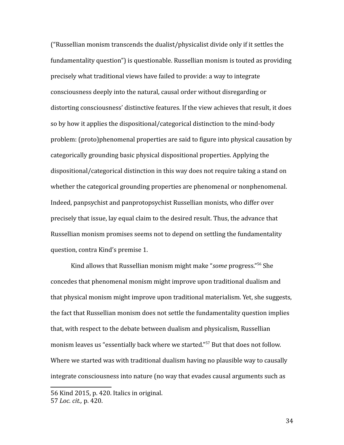("Russellian monism transcends the dualist/physicalist divide only if it settles the fundamentality question") is questionable. Russellian monism is touted as providing precisely what traditional views have failed to provide: a way to integrate consciousness deeply into the natural, causal order without disregarding or distorting consciousness' distinctive features. If the view achieves that result, it does so by how it applies the dispositional/categorical distinction to the mind-body problem: (proto)phenomenal properties are said to figure into physical causation by categorically grounding basic physical dispositional properties. Applying the dispositional/categorical distinction in this way does not require taking a stand on whether the categorical grounding properties are phenomenal or nonphenomenal. Indeed, panpsychist and panprotopsychist Russellian monists, who differ over precisely that issue, lay equal claim to the desired result. Thus, the advance that Russellian monism promises seems not to depend on settling the fundamentality question, contra Kind's premise 1.

Kind allows that Russellian monism might make "*some* progress."[56](#page-33-0) She concedes that phenomenal monism might improve upon traditional dualism and that physical monism might improve upon traditional materialism. Yet, she suggests, the fact that Russellian monism does not settle the fundamentality question implies that, with respect to the debate between dualism and physicalism, Russellian monism leaves us "essentially back where we started."[57](#page-33-1) But that does not follow. Where we started was with traditional dualism having no plausible way to causally integrate consciousness into nature (no way that evades causal arguments such as

<span id="page-33-0"></span><sup>56</sup> Kind 2015, p. 420. Italics in original.

<span id="page-33-1"></span><sup>57</sup> *Loc. cit.,* p. 420.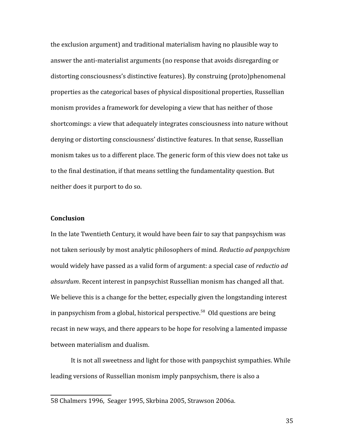the exclusion argument) and traditional materialism having no plausible way to answer the anti-materialist arguments (no response that avoids disregarding or distorting consciousness's distinctive features). By construing (proto)phenomenal properties as the categorical bases of physical dispositional properties, Russellian monism provides a framework for developing a view that has neither of those shortcomings: a view that adequately integrates consciousness into nature without denying or distorting consciousness' distinctive features. In that sense, Russellian monism takes us to a different place. The generic form of this view does not take us to the final destination, if that means settling the fundamentality question. But neither does it purport to do so.

#### **Conclusion**

In the late Twentieth Century, it would have been fair to say that panpsychism was not taken seriously by most analytic philosophers of mind. *Reductio ad panpsychism*  would widely have passed as a valid form of argument: a special case of *reductio ad absurdum*. Recent interest in panpsychist Russellian monism has changed all that. We believe this is a change for the better, especially given the longstanding interest in panpsychism from a global, historical perspective.<sup>[58](#page-34-0)</sup> Old questions are being recast in new ways, and there appears to be hope for resolving a lamented impasse between materialism and dualism.

It is not all sweetness and light for those with panpsychist sympathies. While leading versions of Russellian monism imply panpsychism, there is also a

<span id="page-34-0"></span><sup>58</sup> Chalmers 1996, Seager 1995, Skrbina 2005, Strawson 2006a.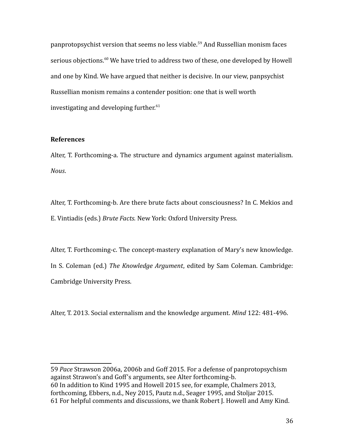panprotopsychist version that seems no less viable.<sup>[59](#page-35-0)</sup> And Russellian monism faces serious objections.<sup>[60](#page-35-1)</sup> We have tried to address two of these, one developed by Howell and one by Kind. We have argued that neither is decisive. In our view, panpsychist Russellian monism remains a contender position: one that is well worth investigating and developing further. $61$ 

## **References**

Alter, T. Forthcoming-a. The structure and dynamics argument against materialism. *Nous*.

Alter, T. Forthcoming-b. Are there brute facts about consciousness? In C. Mekios and E. Vintiadis (eds.) *Brute Facts.* New York: Oxford University Press.

Alter, T. Forthcoming-c. The concept-mastery explanation of Mary's new knowledge. In S. Coleman (ed.) *The Knowledge Argument*, edited by Sam Coleman. Cambridge: Cambridge University Press.

Alter, T. 2013. Social externalism and the knowledge argument. *Mind* 122: 481-496.

<span id="page-35-2"></span><span id="page-35-1"></span><span id="page-35-0"></span>59 *Pace* Strawson 2006a, 2006b and Goff 2015. For a defense of panprotopsychism against Strawon's and Goff's arguments, see Alter forthcoming-b. 60 In addition to Kind 1995 and Howell 2015 see, for example, Chalmers 2013, forthcoming, Ebbers, n.d., Ney 2015, Pautz n.d., Seager 1995, and Stoljar 2015. 61 For helpful comments and discussions, we thank Robert J. Howell and Amy Kind.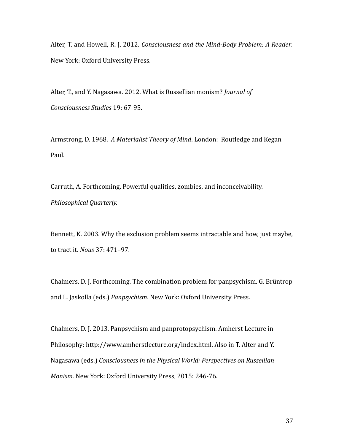Alter, T. and Howell, R. J. 2012. *Consciousness and the Mind-Body Problem: A Reader.* New York: Oxford University Press.

Alter, T., and Y. Nagasawa. 2012. What is Russellian monism? *Journal of Consciousness Studies* 19: 67-95.

Armstrong, D. 1968. *A Materialist Theory of Mind*. London: Routledge and Kegan Paul.

Carruth, A. Forthcoming. Powerful qualities, zombies, and inconceivability. *Philosophical Quarterly.*

Bennett, K. 2003. Why the exclusion problem seems intractable and how, just maybe, to tract it. *Nous* 37: 471–97.

Chalmers, D. J. Forthcoming. The combination problem for panpsychism. G. Brüntrop and L. Jaskolla (eds.) *Panpsychism*. New York: Oxford University Press.

Chalmers, D. J. 2013. Panpsychism and panprotopsychism. Amherst Lecture in Philosophy: http://www.amherstlecture.org/index.html. Also in T. Alter and Y. Nagasawa (eds.) *Consciousness in the Physical World: Perspectives on Russellian Monism.* New York: Oxford University Press, 2015: 246-76.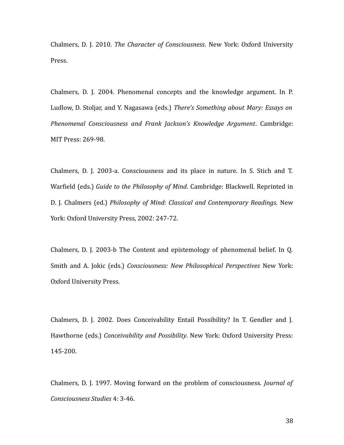Chalmers, D. J. 2010. *The Character of Consciousness*. New York: Oxford University Press.

Chalmers, D. J. 2004. Phenomenal concepts and the knowledge argument. In P. Ludlow, D. Stoljar, and Y. Nagasawa (eds.) *There's Something about Mary: Essays on Phenomenal Consciousness and Frank Jackson's Knowledge Argument*. Cambridge: MIT Press: 269-98.

Chalmers, D. J. 2003-a. Consciousness and its place in nature. In S. Stich and T. Warfield (eds.) *Guide to the Philosophy of Mind*. Cambridge: Blackwell. Reprinted in D. J. Chalmers (ed.) *Philosophy of Mind: Classical and Contemporary Readings.* New York: Oxford University Press, 2002: 247-72.

Chalmers, D. J. 2003-b The Content and epistemology of phenomenal belief. In Q. Smith and A. Jokic (eds.) *Consciousness: New Philosophical Perspectives* New York: Oxford University Press.

Chalmers, D. J. 2002. Does Conceivability Entail Possibility? In T. Gendler and J. Hawthorne (eds.) *Conceivability and Possibility*. New York: Oxford University Press: 145-200.

Chalmers, D. J. 1997. Moving forward on the problem of consciousness. *Journal of Consciousness Studies* 4: 3-46.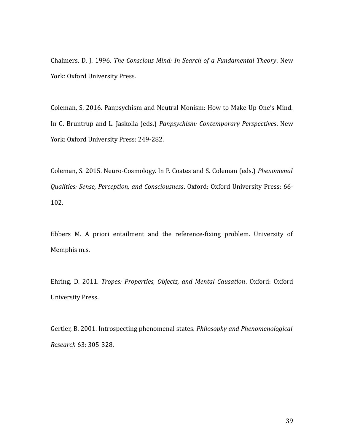Chalmers, D. J. 1996. *The Conscious Mind: In Search of a Fundamental Theory*. New York: Oxford University Press.

Coleman, S. 2016. Panpsychism and Neutral Monism: How to Make Up One's Mind. In G. Bruntrup and L. Jaskolla (eds.) *Panpsychism: Contemporary Perspectives*. New York: Oxford University Press: 249-282.

Coleman, S. 2015. Neuro-Cosmology. In P. Coates and S. Coleman (eds.) *Phenomenal Qualities: Sense, Perception, and Consciousness*. Oxford: Oxford University Press: 66- 102.

Ebbers M. A priori entailment and the reference-fixing problem. University of Memphis m.s.

Ehring, D. 2011. *Tropes: Properties, Objects, and Mental Causation*. Oxford: Oxford University Press.

Gertler, B. 2001. Introspecting phenomenal states. *Philosophy and Phenomenological Research* 63: 305-328.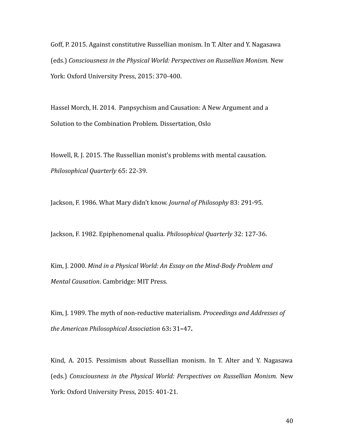Goff, P. 2015. Against constitutive Russellian monism. In T. Alter and Y. Nagasawa (eds.) *Consciousness in the Physical World: Perspectives on Russellian Monism.* New York: Oxford University Press, 2015: 370-400.

Hassel Morch, H. 2014. Panpsychism and Causation: A New Argument and a Solution to the Combination Problem*.* Dissertation, Oslo

Howell, R. J. 2015. The Russellian monist's problems with mental causation. *Philosophical Quarterly* 65: 22-39.

Jackson, F. 1986. What Mary didn't know. *Journal of Philosophy* 83: 291-95.

Jackson, F. 1982. Epiphenomenal qualia. *Philosophical Quarterly* 32: 127-36.

Kim, J. 2000. *Mind in a Physical World: An Essay on the Mind-Body Problem and Mental Causation*. Cambridge: MIT Press.

Kim, J. 1989. The myth of non-reductive materialism. *Proceedings and Addresses of the American Philosophical Association* 63**:** 31**–**47**.**

Kind, A. 2015. Pessimism about Russellian monism. In T. Alter and Y. Nagasawa (eds.) *Consciousness in the Physical World: Perspectives on Russellian Monism.* New York: Oxford University Press, 2015: 401-21.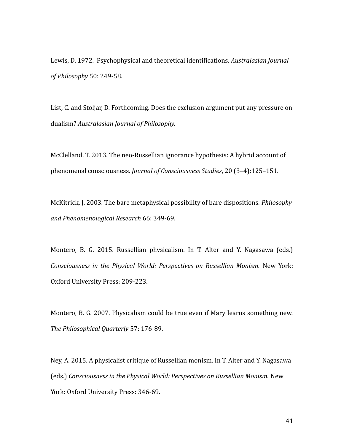Lewis, D. 1972. Psychophysical and theoretical identifications. *Australasian Journal of Philosophy* 50: 249-58.

List, C. and Stoljar, D. Forthcoming. Does the exclusion argument put any pressure on dualism? *Australasian Journal of Philosophy.*

McClelland, T. 2013. The neo-Russellian ignorance hypothesis: A hybrid account of phenomenal consciousness*. Journal of Consciousness Studies*, 20 (3–4):125–151.

McKitrick, J. 2003. The bare metaphysical possibility of bare dispositions. *Philosophy and Phenomenological Research* 66: 349-69.

Montero, B. G. 2015. Russellian physicalism. In T. Alter and Y. Nagasawa (eds.) *Consciousness in the Physical World: Perspectives on Russellian Monism.* New York: Oxford University Press: 209-223.

Montero, B. G. 2007. Physicalism could be true even if Mary learns something new. *The Philosophical Quarterly* 57: 176-89.

Ney, A. 2015. A physicalist critique of Russellian monism. In T. Alter and Y. Nagasawa (eds.) *Consciousness in the Physical World: Perspectives on Russellian Monism.* New York: Oxford University Press: 346-69.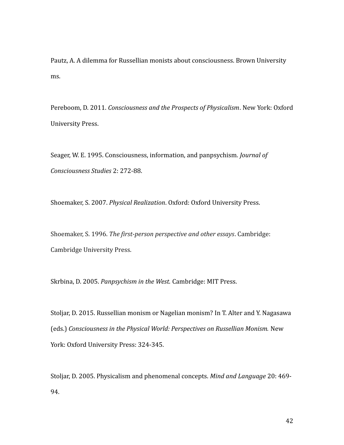Pautz, A. A dilemma for Russellian monists about consciousness. Brown University ms.

Pereboom, D. 2011. *Consciousness and the Prospects of Physicalism*. New York: Oxford University Press.

Seager, W. E. 1995. Consciousness, information, and panpsychism*. Journal of Consciousness Studies* 2: 272-88.

Shoemaker, S. 2007. *Physical Realization*. Oxford: Oxford University Press.

Shoemaker, S. 1996. *The first-person perspective and other essays*. Cambridge: Cambridge University Press.

Skrbina, D. 2005. *Panpsychism in the West.* Cambridge: MIT Press.

Stoljar, D. 2015. Russellian monism or Nagelian monism? In T. Alter and Y. Nagasawa (eds.) *Consciousness in the Physical World: Perspectives on Russellian Monism.* New York: Oxford University Press: 324-345.

Stoljar, D. 2005. Physicalism and phenomenal concepts. *Mind and Language* 20: 469- 94.